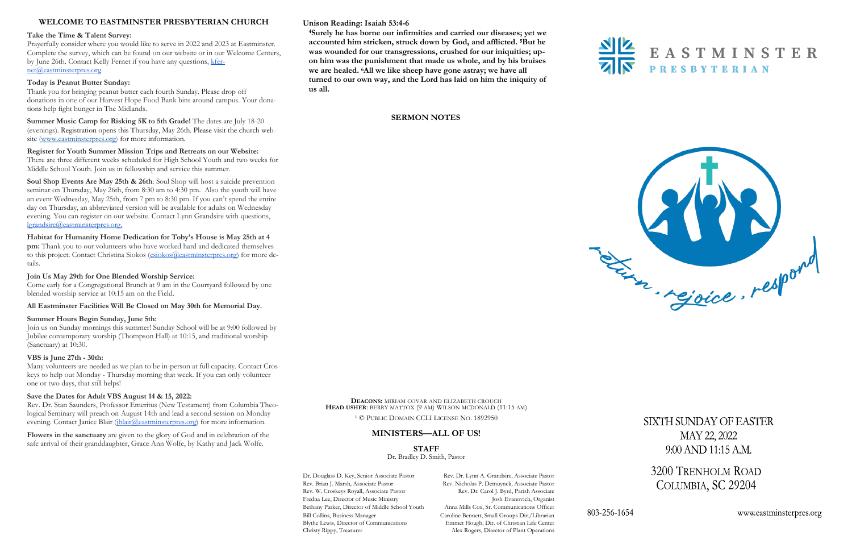## **Unison Reading: Isaiah 53:4-6**

**<sup>4</sup>Surely he has borne our infirmities and carried our diseases; yet we accounted him stricken, struck down by God, and afflicted. <sup>5</sup>But he was wounded for our transgressions, crushed for our iniquities; upon him was the punishment that made us whole, and by his bruises we are healed. <sup>6</sup>All we like sheep have gone astray; we have all turned to our own way, and the Lord has laid on him the iniquity of us all.** 





# **WELCOME TO EASTMINSTER PRESBYTERIAN CHURCH**

#### **Take the Time & Talent Survey:**

Prayerfully consider where you would like to serve in 2022 and 2023 at Eastminster. Complete the survey, which can be found on our website or in our Welcome Centers, by June 26th. Contact Kelly Fernet if you have any questions, [kfer](mailto:kfernet@eastminsterpres.org)[net@eastminsterpres.org.](mailto:kfernet@eastminsterpres.org)

### **Today is Peanut Butter Sunday:**

Thank you for bringing peanut butter each fourth Sunday. Please drop off donations in one of our Harvest Hope Food Bank bins around campus. Your donations help fight hunger in The Midlands.

**Summer Music Camp for Risking 5K to 5th Grade!** The dates are July 18-20 (evenings). Registration opens this Thursday, May 26th. Please visit the church website [\(www.eastminsterpres.org\)](http://www.eastminsterpres.org) for more information.

**Register for Youth Summer Mission Trips and Retreats on our Website:** There are three different weeks scheduled for High School Youth and two weeks for Middle School Youth. Join us in fellowship and service this summer.

Rev. Dr. Stan Saunders, Professor Emeritus (New Testament) from Columbia Theological Seminary will preach on August 14th and lead a second session on Monday evening. Contact Janice Blair ( $j$ blair $@$ eastminsterpres.org) for more information.

**Soul Shop Events Are May 25th & 26th**: Soul Shop will host a suicide prevention seminar on Thursday, May 26th, from 8:30 am to 4:30 pm. Also the youth will have an event Wednesday, May 25th, from 7 pm to 8:30 pm. If you can't spend the entire day on Thursday, an abbreviated version will be available for adults on Wednesday evening. You can register on our website. Contact Lynn Grandsire with questions, [lgrandsire@eastminsterpres.org.](mailto:lgrandsire@eastminsterpres.org)

## **Habitat for Humanity Home Dedication for Toby's House is May 25th at 4**

**pm:** Thank you to our volunteers who have worked hard and dedicated themselves to this project. Contact Christina Siokos ([csiokos@eastminsterpres.org\)](mailto:csiokos@eastminsterpres.org) for more details.

#### **Join Us May 29th for One Blended Worship Service:**

Come early for a Congregational Brunch at 9 am in the Courtyard followed by one blended worship service at 10:15 am on the Field.

#### **All Eastminster Facilities Will Be Closed on May 30th for Memorial Day.**

#### **Summer Hours Begin Sunday, June 5th:**

Join us on Sunday mornings this summer! Sunday School will be at 9:00 followed by Jubilee contemporary worship (Thompson Hall) at 10:15, and traditional worship (Sanctuary) at 10:30.

#### **VBS is June 27th - 30th:**

Many volunteers are needed as we plan to be in-person at full capacity. Contact Croskeys to help out Monday - Thursday morning that week. If you can only volunteer one or two days, that still helps!

#### **Save the Dates for Adult VBS August 14 & 15, 2022:**

**Flowers in the sanctuary** are given to the glory of God and in celebration of the safe arrival of their granddaughter, Grace Ann Wolfe, by Kathy and Jack Wolfe.

**DEACONS:** MIRIAM COVAR AND ELIZABETH CROUCH **HEAD USHER**: BERRY MATTOX (9 AM) WILSON MCDONALD (11:15 AM)

<sup>1</sup> © PUBLIC DOMAIN CCLI LICENSE NO. 1892950

# **MINISTERS—ALL OF US!**

**STAFF**

Dr. Bradley D. Smith, Pastor

Dr. Douglass D. Key, Senior Associate Pastor Rev. Dr. Lynn A. Grandsire, Associate Pastor Rev. Brian J. Marsh, Associate Pastor Rev. Nicholas P. Demuynck, Associate Pastor Rev. W. Croskeys Royall, Associate Pastor Rev. Dr. Carol J. Byrd, Parish Associate Fredna Lee, Director of Music Ministry Josh Evanovich, Organist Bethany Parker, Director of Middle School Youth Anna Mills Cox, Sr. Communications Officer Bill Collins, Business Manager Caroline Bennett, Small Groups Dir./Librarian Blythe Lewis, Director of Communications Emmet Hough, Dir. of Christian Life Center Christy Rippy, Treasurer Alex Rogers, Director of Plant Operations



SIXTH SUNDAY OF EASTER MAY 22, 2022 9:00 AND 11:15 A.M.

3200 TRENHOLM ROAD COLUMBIA, SC 29204

www.eastminsterpres.org